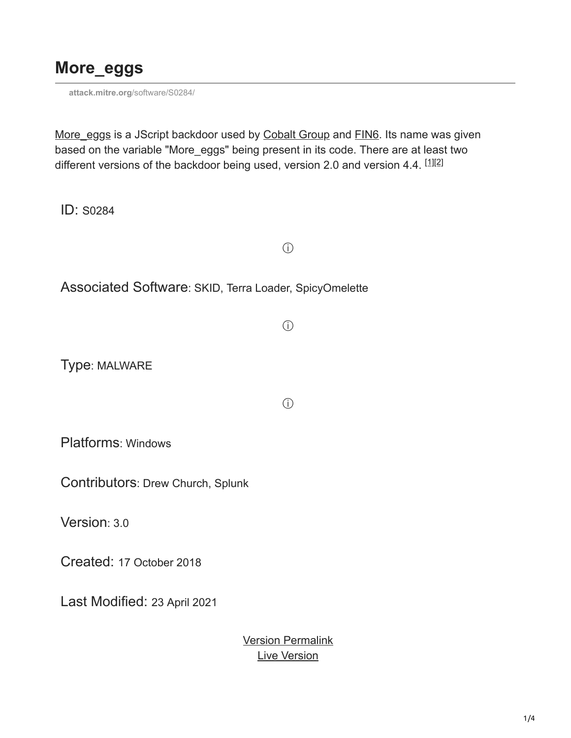### **More\_eggs**

**attack.mitre.org**[/software/S0284/](https://attack.mitre.org/software/S0284/)

[More\\_eggs](https://attack.mitre.org/software/S0284) is a JScript backdoor used by [Cobalt Group](https://attack.mitre.org/groups/G0080) and [FIN6](https://attack.mitre.org/groups/G0037). Its name was given based on the variable "More\_eggs" being present in its code. There are at least two different versions of the backdoor being used, version 2.0 and version 4.4.  $^{[1][2]}$  $^{[1][2]}$  $^{[1][2]}$  $^{[1][2]}$ 

 $(i)$ 

 $\circ$ 

 $\circ$ 

ID: S0284

Associated Software: SKID, Terra Loader, SpicyOmelette

Type: MALWARE

Platforms: Windows

Contributors: Drew Church, Splunk

Version: 3.0

Created: 17 October 2018

Last Modified: 23 April 2021

[Version Permalink](https://attack.mitre.org/versions/v11/software/S0284/) [Live Version](https://attack.mitre.org/versions/v11/software/S0284/)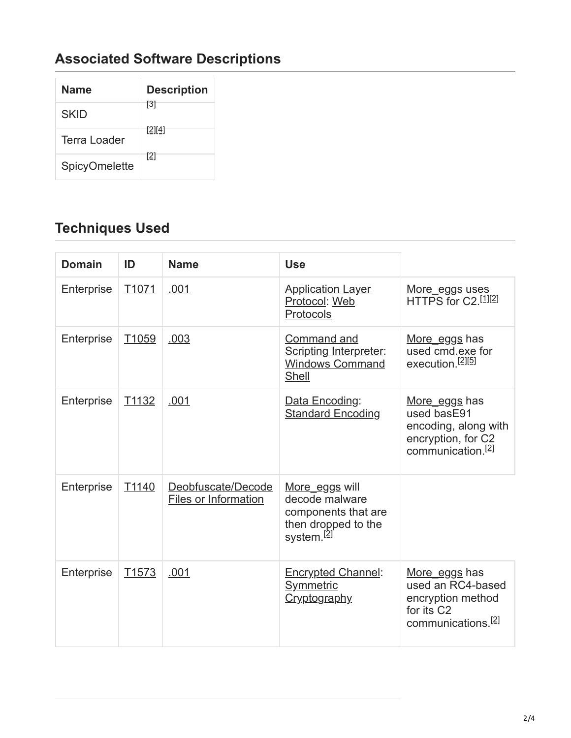## **Associated Software Descriptions**

| Name                 | <b>Description</b> |
|----------------------|--------------------|
| <b>SKID</b>          | [3]                |
| Terra Loader         | [2][4]             |
| <b>SpicyOmelette</b> | [2]                |

# **Techniques Used**

| <b>Domain</b> | ID                | <b>Name</b>                                | <b>Use</b>                                                                                               |                                                                                                                     |
|---------------|-------------------|--------------------------------------------|----------------------------------------------------------------------------------------------------------|---------------------------------------------------------------------------------------------------------------------|
| Enterprise    | T <sub>1071</sub> | .001                                       | <b>Application Layer</b><br>Protocol: Web<br>Protocols                                                   | More_eggs uses<br>HTTPS for C2.[1][2]                                                                               |
| Enterprise    | T1059             | .003                                       | Command and<br>Scripting Interpreter:<br><b>Windows Command</b><br>Shell                                 | More eggs has<br>used cmd.exe for<br>execution. <sup>[2][5]</sup>                                                   |
| Enterprise    | T1132             | .001                                       | Data Encoding:<br><b>Standard Encoding</b>                                                               | More eggs has<br>used basE91<br>encoding, along with<br>encryption, for C2<br>communication. <sup>[2]</sup>         |
| Enterprise    | T1140             | Deobfuscate/Decode<br>Files or Information | More eggs will<br>decode malware<br>components that are<br>then dropped to the<br>system. <sup>[2]</sup> |                                                                                                                     |
| Enterprise    | T <sub>1573</sub> | .001                                       | Encrypted Channel:<br>Symmetric<br><b>Cryptography</b>                                                   | More eggs has<br>used an RC4-based<br>encryption method<br>for its C <sub>2</sub><br>communications. <sup>[2]</sup> |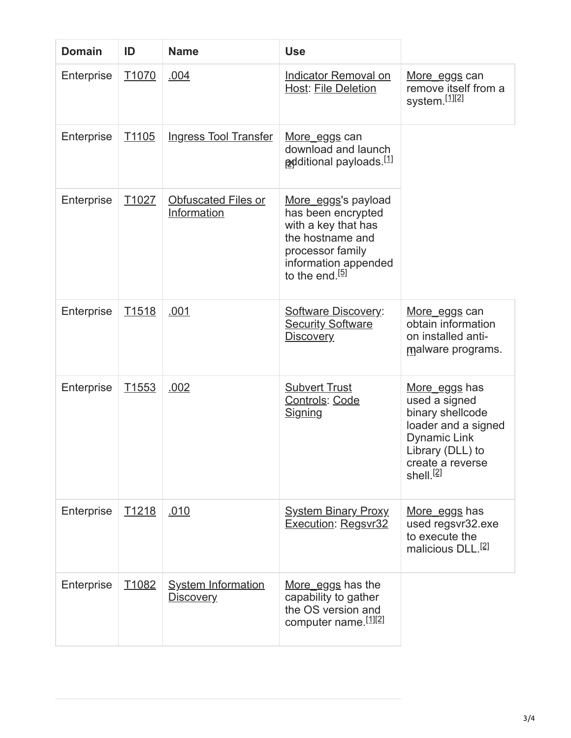| <b>Domain</b> | ID                | <b>Name</b>                                   | <b>Use</b>                                                                                                                                                     |                                                                                                                                                                   |
|---------------|-------------------|-----------------------------------------------|----------------------------------------------------------------------------------------------------------------------------------------------------------------|-------------------------------------------------------------------------------------------------------------------------------------------------------------------|
| Enterprise    | T <sub>1070</sub> | .004                                          | <b>Indicator Removal on</b><br><b>Host: File Deletion</b>                                                                                                      | More_eggs can<br>remove itself from a<br>system.[1][2]                                                                                                            |
| Enterprise    | T <sub>1105</sub> | <b>Ingress Tool Transfer</b>                  | More_eggs can<br>download and launch<br><b>a</b> dditional payloads. <sup>[1]</sup>                                                                            |                                                                                                                                                                   |
| Enterprise    | T <sub>1027</sub> | Obfuscated Files or<br>Information            | More eggs's payload<br>has been encrypted<br>with a key that has<br>the hostname and<br>processor family<br>information appended<br>to the end. <sup>[5]</sup> |                                                                                                                                                                   |
| Enterprise    | T <sub>1518</sub> | .001                                          | <b>Software Discovery:</b><br><b>Security Software</b><br><b>Discovery</b>                                                                                     | <u>More_eggs</u> can<br>obtain information<br>on installed anti-<br>malware programs.                                                                             |
| Enterprise    | T <sub>1553</sub> | .002                                          | <b>Subvert Trust</b><br>Controls: Code<br><b>Signing</b>                                                                                                       | More_eggs has<br>used a signed<br>binary shellcode<br>loader and a signed<br><b>Dynamic Link</b><br>Library (DLL) to<br>create a reverse<br>shell. <sup>[2]</sup> |
| Enterprise    | T <sub>1218</sub> | .010                                          | <b>System Binary Proxy</b><br><b>Execution: Regsvr32</b>                                                                                                       | More eggs has<br>used regsvr32.exe<br>to execute the<br>malicious DLL. <sup>[2]</sup>                                                                             |
| Enterprise    | T <sub>1082</sub> | <b>System Information</b><br><u>Discovery</u> | More_eggs has the<br>capability to gather<br>the OS version and<br>computer name. [1][2]                                                                       |                                                                                                                                                                   |